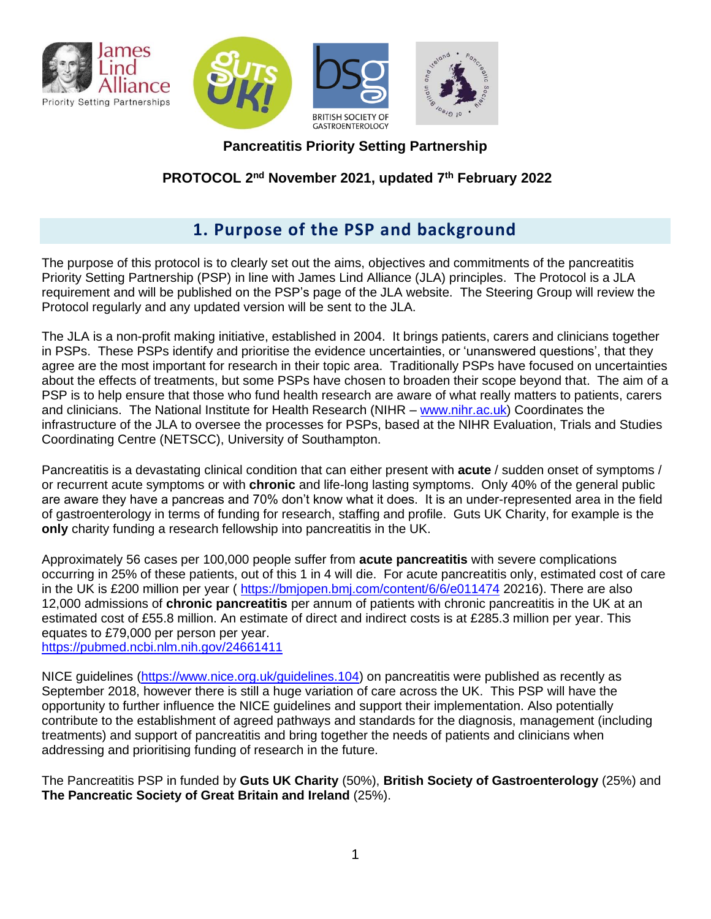

**Pancreatitis Priority Setting Partnership**

## **PROTOCOL 2 nd November 2021, updated 7th February 2022**

# **1. Purpose of the PSP and background**

The purpose of this protocol is to clearly set out the aims, objectives and commitments of the pancreatitis Priority Setting Partnership (PSP) in line with James Lind Alliance (JLA) principles. The Protocol is a JLA requirement and will be published on the PSP's page of the JLA website. The Steering Group will review the Protocol regularly and any updated version will be sent to the JLA.

The JLA is a non-profit making initiative, established in 2004. It brings patients, carers and clinicians together in PSPs. These PSPs identify and prioritise the evidence uncertainties, or 'unanswered questions', that they agree are the most important for research in their topic area. Traditionally PSPs have focused on uncertainties about the effects of treatments, but some PSPs have chosen to broaden their scope beyond that. The aim of a PSP is to help ensure that those who fund health research are aware of what really matters to patients, carers and clinicians. The National Institute for Health Research (NIHR – [www.nihr.ac.uk\)](http://www.nihr.ac.uk/) Coordinates the infrastructure of the JLA to oversee the processes for PSPs, based at the NIHR Evaluation, Trials and Studies Coordinating Centre (NETSCC), University of Southampton.

Pancreatitis is a devastating clinical condition that can either present with **acute** / sudden onset of symptoms / or recurrent acute symptoms or with **chronic** and life-long lasting symptoms. Only 40% of the general public are aware they have a pancreas and 70% don't know what it does. It is an under-represented area in the field of gastroenterology in terms of funding for research, staffing and profile. Guts UK Charity, for example is the **only** charity funding a research fellowship into pancreatitis in the UK.

Approximately 56 cases per 100,000 people suffer from **acute pancreatitis** with severe complications occurring in 25% of these patients, out of this 1 in 4 will die. For acute pancreatitis only, estimated cost of care in the UK is £200 million per year ( <https://bmjopen.bmj.com/content/6/6/e011474> 20216). There are also 12,000 admissions of **chronic pancreatitis** per annum of patients with chronic pancreatitis in the UK at an estimated cost of £55.8 million. An estimate of direct and indirect costs is at £285.3 million per year. This equates to £79,000 per person per year.

<https://pubmed.ncbi.nlm.nih.gov/24661411>

NICE guidelines [\(https://www.nice.org.uk/guidelines.104\)](https://www.nice.org.uk/guidelines.104) on pancreatitis were published as recently as September 2018, however there is still a huge variation of care across the UK. This PSP will have the opportunity to further influence the NICE guidelines and support their implementation. Also potentially contribute to the establishment of agreed pathways and standards for the diagnosis, management (including treatments) and support of pancreatitis and bring together the needs of patients and clinicians when addressing and prioritising funding of research in the future.

The Pancreatitis PSP in funded by **Guts UK Charity** (50%), **British Society of Gastroenterology** (25%) and **The Pancreatic Society of Great Britain and Ireland** (25%).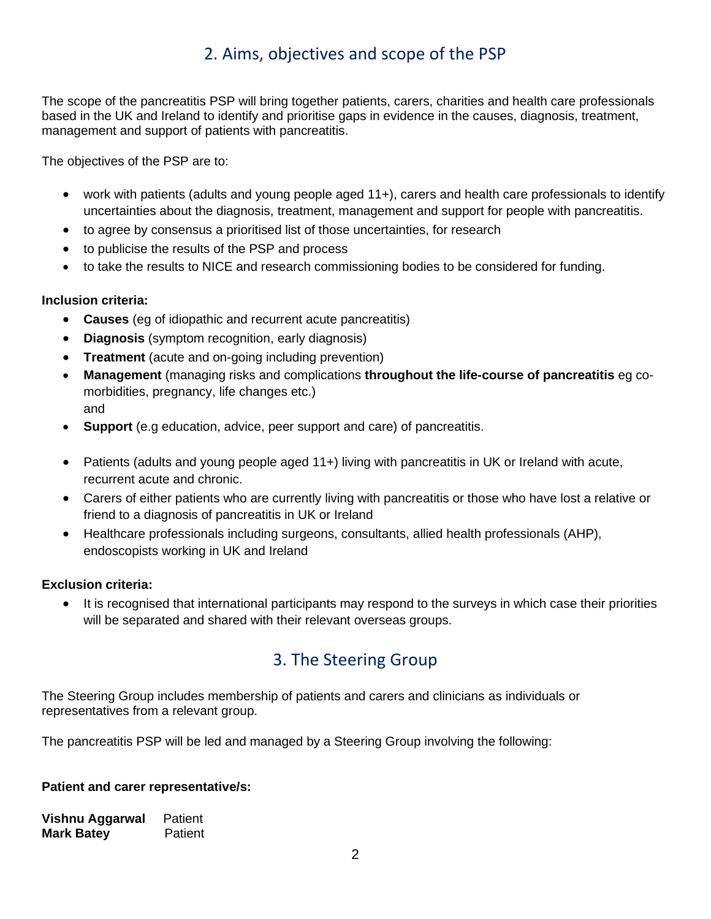# 2. Aims, objectives and scope of the PSP

The scope of the pancreatitis PSP will bring together patients, carers, charities and health care professionals based in the UK and Ireland to identify and prioritise gaps in evidence in the causes, diagnosis, treatment, management and support of patients with pancreatitis.

The objectives of the PSP are to:

- work with patients (adults and young people aged 11+), carers and health care professionals to identify uncertainties about the diagnosis, treatment, management and support for people with pancreatitis.
- to agree by consensus a prioritised list of those uncertainties, for research
- to publicise the results of the PSP and process
- to take the results to NICE and research commissioning bodies to be considered for funding.

## **Inclusion criteria:**

- **Causes** (eg of idiopathic and recurrent acute pancreatitis)
- **Diagnosis** (symptom recognition, early diagnosis)
- **Treatment** (acute and on-going including prevention)
- **Management** (managing risks and complications **throughout the life-course of pancreatitis** eg comorbidities, pregnancy, life changes etc.) and
- **Support** (e.g education, advice, peer support and care) of pancreatitis.
- Patients (adults and young people aged 11+) living with pancreatitis in UK or Ireland with acute, recurrent acute and chronic.
- Carers of either patients who are currently living with pancreatitis or those who have lost a relative or friend to a diagnosis of pancreatitis in UK or Ireland
- Healthcare professionals including surgeons, consultants, allied health professionals (AHP), endoscopists working in UK and Ireland

## **Exclusion criteria:**

It is recognised that international participants may respond to the surveys in which case their priorities will be separated and shared with their relevant overseas groups.

# 3. The Steering Group

The Steering Group includes membership of patients and carers and clinicians as individuals or representatives from a relevant group.

The pancreatitis PSP will be led and managed by a Steering Group involving the following:

### **Patient and carer representative/s:**

| Vishnu Aggarwal   | Patient |
|-------------------|---------|
| <b>Mark Batey</b> | Patient |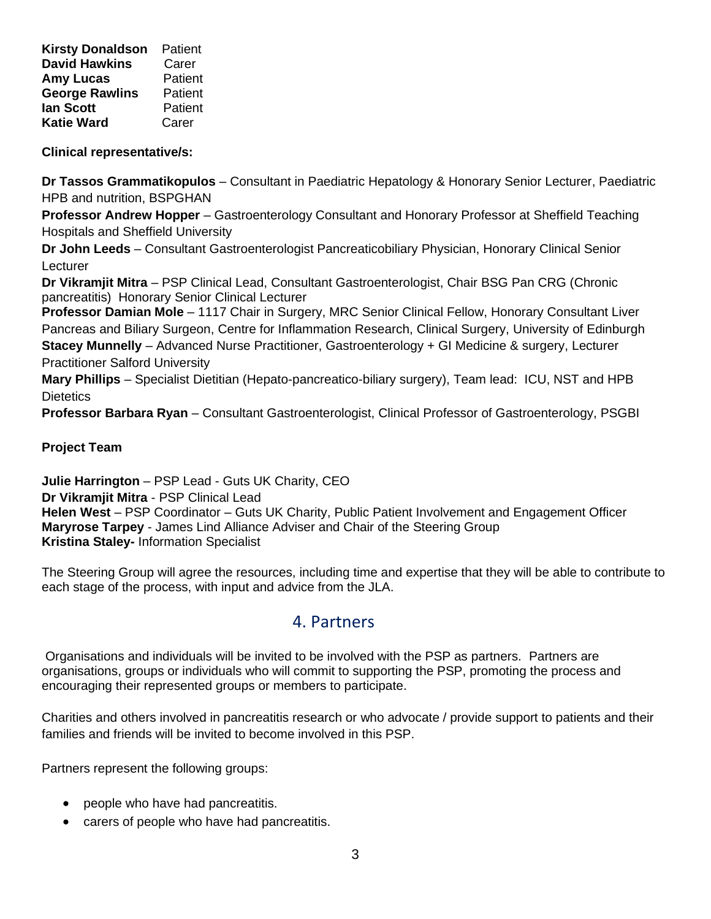**Kirsty Donaldson** Patient **David Hawkins** Carer **Amy Lucas** Patient **George Rawlins** Patient **Ian Scott** Patient **Katie Ward** Carer

### **Clinical representative/s:**

**Dr Tassos Grammatikopulos** – Consultant in Paediatric Hepatology & Honorary Senior Lecturer, Paediatric HPB and nutrition, BSPGHAN

**Professor Andrew Hopper** – Gastroenterology Consultant and Honorary Professor at Sheffield Teaching Hospitals and Sheffield University

**Dr John Leeds** – Consultant Gastroenterologist Pancreaticobiliary Physician, Honorary Clinical Senior Lecturer

**Dr Vikramjit Mitra** – PSP Clinical Lead, Consultant Gastroenterologist, Chair BSG Pan CRG (Chronic pancreatitis) Honorary Senior Clinical Lecturer

**Professor Damian Mole** – 1117 Chair in Surgery, MRC Senior Clinical Fellow, Honorary Consultant Liver Pancreas and Biliary Surgeon, Centre for Inflammation Research, Clinical Surgery, University of Edinburgh **Stacey Munnelly** – Advanced Nurse Practitioner, Gastroenterology + GI Medicine & surgery, Lecturer Practitioner Salford University

**Mary Phillips** – Specialist Dietitian (Hepato-pancreatico-biliary surgery), Team lead: ICU, NST and HPB **Dietetics** 

**Professor Barbara Ryan** – Consultant Gastroenterologist, Clinical Professor of Gastroenterology, PSGBI

### **Project Team**

**Julie Harrington** – PSP Lead - Guts UK Charity, CEO **Dr Vikramjit Mitra** - PSP Clinical Lead **Helen West** – PSP Coordinator – Guts UK Charity, Public Patient Involvement and Engagement Officer **Maryrose Tarpey** - James Lind Alliance Adviser and Chair of the Steering Group **Kristina Staley-** Information Specialist

The Steering Group will agree the resources, including time and expertise that they will be able to contribute to each stage of the process, with input and advice from the JLA.

## 4. Partners

Organisations and individuals will be invited to be involved with the PSP as partners. Partners are organisations, groups or individuals who will commit to supporting the PSP, promoting the process and encouraging their represented groups or members to participate.

Charities and others involved in pancreatitis research or who advocate / provide support to patients and their families and friends will be invited to become involved in this PSP.

Partners represent the following groups:

- people who have had pancreatitis.
- carers of people who have had pancreatitis.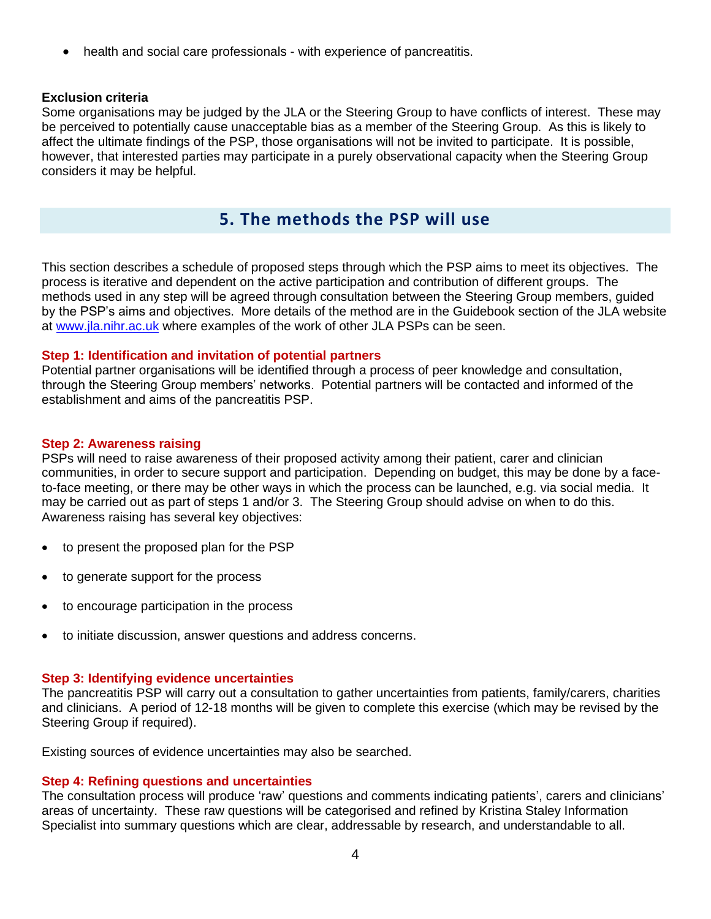• health and social care professionals - with experience of pancreatitis.

#### **Exclusion criteria**

Some organisations may be judged by the JLA or the Steering Group to have conflicts of interest. These may be perceived to potentially cause unacceptable bias as a member of the Steering Group. As this is likely to affect the ultimate findings of the PSP, those organisations will not be invited to participate. It is possible, however, that interested parties may participate in a purely observational capacity when the Steering Group considers it may be helpful.

# **5. The methods the PSP will use**

This section describes a schedule of proposed steps through which the PSP aims to meet its objectives. The process is iterative and dependent on the active participation and contribution of different groups. The methods used in any step will be agreed through consultation between the Steering Group members, guided by the PSP's aims and objectives. More details of the method are in the Guidebook section of the JLA website at [www.jla.nihr.ac.uk](http://www.jla.nihr.ac.uk/) where examples of the work of other JLA PSPs can be seen.

#### **Step 1: Identification and invitation of potential partners**

Potential partner organisations will be identified through a process of peer knowledge and consultation, through the Steering Group members' networks. Potential partners will be contacted and informed of the establishment and aims of the pancreatitis PSP.

#### **Step 2: Awareness raising**

PSPs will need to raise awareness of their proposed activity among their patient, carer and clinician communities, in order to secure support and participation. Depending on budget, this may be done by a faceto-face meeting, or there may be other ways in which the process can be launched, e.g. via social media. It may be carried out as part of steps 1 and/or 3. The Steering Group should advise on when to do this. Awareness raising has several key objectives:

- to present the proposed plan for the PSP
- to generate support for the process
- to encourage participation in the process
- to initiate discussion, answer questions and address concerns.

#### **Step 3: Identifying evidence uncertainties**

The pancreatitis PSP will carry out a consultation to gather uncertainties from patients, family/carers, charities and clinicians. A period of 12-18 months will be given to complete this exercise (which may be revised by the Steering Group if required).

Existing sources of evidence uncertainties may also be searched.

#### **Step 4: Refining questions and uncertainties**

The consultation process will produce 'raw' questions and comments indicating patients', carers and clinicians' areas of uncertainty. These raw questions will be categorised and refined by Kristina Staley Information Specialist into summary questions which are clear, addressable by research, and understandable to all.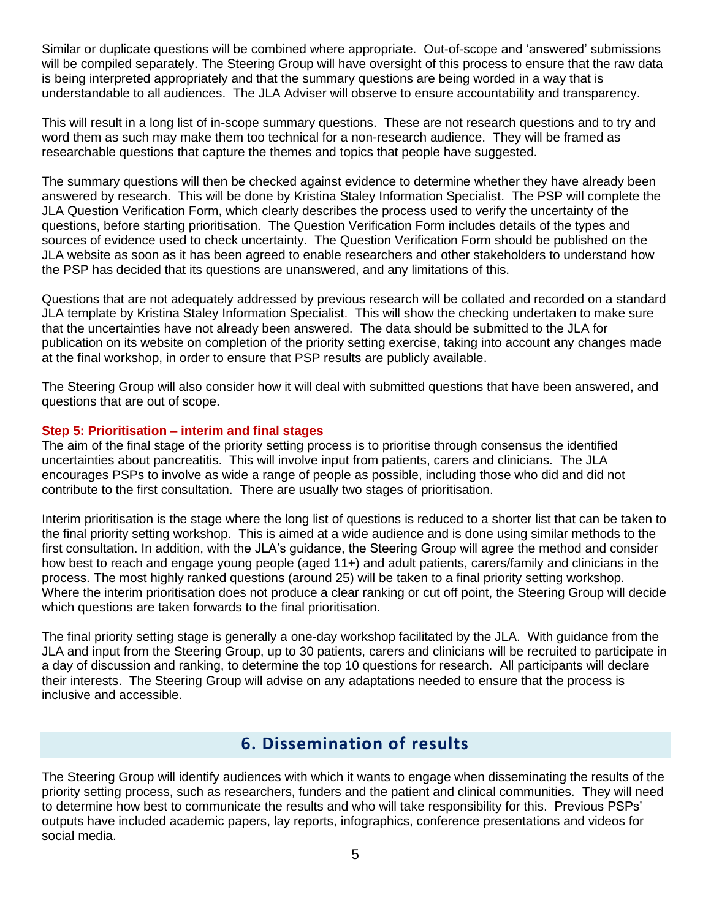Similar or duplicate questions will be combined where appropriate. Out-of-scope and 'answered' submissions will be compiled separately. The Steering Group will have oversight of this process to ensure that the raw data is being interpreted appropriately and that the summary questions are being worded in a way that is understandable to all audiences. The JLA Adviser will observe to ensure accountability and transparency.

This will result in a long list of in-scope summary questions. These are not research questions and to try and word them as such may make them too technical for a non-research audience. They will be framed as researchable questions that capture the themes and topics that people have suggested.

The summary questions will then be checked against evidence to determine whether they have already been answered by research. This will be done by Kristina Staley Information Specialist. The PSP will complete the JLA Question Verification Form, which clearly describes the process used to verify the uncertainty of the questions, before starting prioritisation. The Question Verification Form includes details of the types and sources of evidence used to check uncertainty. The Question Verification Form should be published on the JLA website as soon as it has been agreed to enable researchers and other stakeholders to understand how the PSP has decided that its questions are unanswered, and any limitations of this.

Questions that are not adequately addressed by previous research will be collated and recorded on a standard JLA template by Kristina Staley Information Specialist. This will show the checking undertaken to make sure that the uncertainties have not already been answered. The data should be submitted to the JLA for publication on its website on completion of the priority setting exercise, taking into account any changes made at the final workshop, in order to ensure that PSP results are publicly available.

The Steering Group will also consider how it will deal with submitted questions that have been answered, and questions that are out of scope.

### **Step 5: Prioritisation – interim and final stages**

The aim of the final stage of the priority setting process is to prioritise through consensus the identified uncertainties about pancreatitis. This will involve input from patients, carers and clinicians. The JLA encourages PSPs to involve as wide a range of people as possible, including those who did and did not contribute to the first consultation. There are usually two stages of prioritisation.

Interim prioritisation is the stage where the long list of questions is reduced to a shorter list that can be taken to the final priority setting workshop. This is aimed at a wide audience and is done using similar methods to the first consultation. In addition, with the JLA's guidance, the Steering Group will agree the method and consider how best to reach and engage young people (aged 11+) and adult patients, carers/family and clinicians in the process. The most highly ranked questions (around 25) will be taken to a final priority setting workshop. Where the interim prioritisation does not produce a clear ranking or cut off point, the Steering Group will decide which questions are taken forwards to the final prioritisation.

The final priority setting stage is generally a one-day workshop facilitated by the JLA. With guidance from the JLA and input from the Steering Group, up to 30 patients, carers and clinicians will be recruited to participate in a day of discussion and ranking, to determine the top 10 questions for research. All participants will declare their interests. The Steering Group will advise on any adaptations needed to ensure that the process is inclusive and accessible.

# **6. Dissemination of results**

The Steering Group will identify audiences with which it wants to engage when disseminating the results of the priority setting process, such as researchers, funders and the patient and clinical communities. They will need to determine how best to communicate the results and who will take responsibility for this. Previous PSPs' outputs have included academic papers, lay reports, infographics, conference presentations and videos for social media.